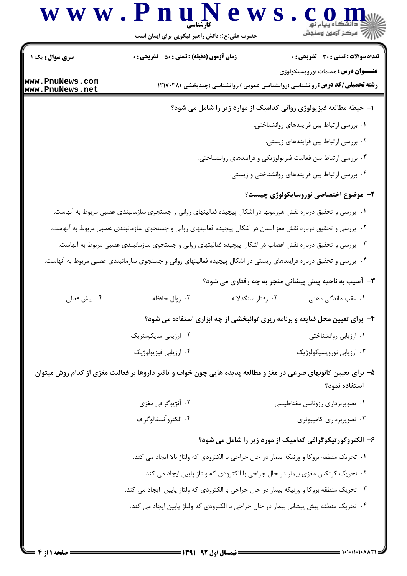## W W . P n u N e W S . Com

| سری سوال: یک ۱                     | <b>زمان آزمون (دقیقه) : تستی : 50 ٪ تشریحی : 0</b>                                                                |                   | <b>تعداد سوالات : تستی : 30 ٪ تشریحی : 0</b>                                                                                      |
|------------------------------------|-------------------------------------------------------------------------------------------------------------------|-------------------|-----------------------------------------------------------------------------------------------------------------------------------|
| www.PnuNews.com<br>www.PnuNews.net |                                                                                                                   |                   | <b>عنـــوان درس:</b> مقدمات نوروپسیکولوژی<br><b>رشته تحصیلی/کد درس: ر</b> وانشناسی (روانشناسی عمومی )،روانشناسی (چندبخشی )۱۲۱۷۰۳۸ |
|                                    |                                                                                                                   |                   | ا- حیطه مطالعه فیزیولوژی روانی کدامیک از موارد زیر را شامل می شود؟                                                                |
|                                    |                                                                                                                   |                   | ۰۱ بررسی ارتباط بین فرایندهای روانشناختی.                                                                                         |
|                                    |                                                                                                                   |                   | ۰۲ بررسی ارتباط بین فرایندهای زیستی.                                                                                              |
|                                    |                                                                                                                   |                   | ۰۳ بررسی ارتباط بین فعالیت فیزیولوژیکی و فرایندهای روانشناختی.                                                                    |
|                                    |                                                                                                                   |                   | ۰۴ بررسی ارتباط بین فرایندهای روانشناختی و زیستی.                                                                                 |
|                                    |                                                                                                                   |                   | ۲- موضوع اختصاصی نوروسایکولوژی چیست؟                                                                                              |
|                                    | ۰۱ بررسی و تحقیق درباره نقش هورمونها در اشکال پیچیده فعالیتهای روانی و جستجوی سازمانبندی عصبی مربوط به آنهاست.    |                   |                                                                                                                                   |
|                                    | ۰۲ بررسی و تحقیق درباره نقش مغز انسان در اشکال پیچیده فعالیتهای روانی و جستجوی سازمانبندی عصبی مربوط به آنهاست.   |                   |                                                                                                                                   |
|                                    | ۰۳ بررسی و تحقیق درباره نقش اعصاب در اشکال پیچیده فعالیتهای روانی و جستجوی سازمانبندی عصبی مربوط به آنهاست.       |                   |                                                                                                                                   |
|                                    | ۰۴ بررسی و تحقیق درباره فرایندهای زیستی در اشکال پیچیده فعالیتهای روانی و جستجوی سازمانبندی عصبی مربوط به آنهاست. |                   |                                                                                                                                   |
|                                    |                                                                                                                   |                   | <b>۳</b> - آسیب به ناحیه پیش پیشانی منجر به چه رفتاری می شود؟                                                                     |
| ۰۴ بيش فعالى                       | ۰۳ زوال حافظه                                                                                                     | ۰۲ رفتار سنگدلانه | ۰۱ عقب ماندگی ذهنی                                                                                                                |
|                                    |                                                                                                                   |                   | ۴- برای تعیین محل ضایعه و برنامه ریزی توانبخشی از چه ابزاری استفاده می شود؟                                                       |
|                                    | ۰۲ ارزیابی سایکومتریک                                                                                             |                   | ۰۱ ارزیابی روانشناختی                                                                                                             |
|                                    | ۰۴ ارزیابی فیزیولوژیک                                                                                             |                   | ۰۳ ارزیابی نوروپسیکولوژیک                                                                                                         |
|                                    | ۵– برای تعیین کانونهای صرعی در مغز و مطالعه پدیده هایی چون خواب و تاثیر داروها بر فعالیت مغزی از کدام روش میتوان  |                   | استفاده نمود؟                                                                                                                     |
|                                    | ۰۲ آنژیوگرافی مغزی                                                                                                |                   | ۰۱ تصویربرداری رزونانس مغناطیسی                                                                                                   |
|                                    | ۰۴ الكتروآنسفالوگراف                                                                                              |                   | ۰۳ تصویربرداری کامپیوتری                                                                                                          |
|                                    |                                                                                                                   |                   | ۶- الکتروکورتیکوگرافی کدامیک از مورد زیر را شامل می شود؟                                                                          |
|                                    | ۰۱ تحریک منطقه بروکا و ورنیکه بیمار در حال جراحی با الکترودی که ولتاژ بالا ایجاد می کند.                          |                   |                                                                                                                                   |
|                                    |                                                                                                                   |                   | ۰۲ تحریک کرتکس مغزی بیمار در حال جراحی با الکترودی که ولتاژ پایین ایجاد می کند.                                                   |
|                                    | ۰۳ تحریک منطقه بروکا و ورنیکه بیمار در حال جراحی با الکترودی که ولتاژ پایین  ایجاد می کند.                        |                   |                                                                                                                                   |
|                                    | ۰۴ تحریک منطقه پیش پیشانی بیمار در حال جراحی با الکترودی که ولتاژ پایین ایجاد می کند.                             |                   |                                                                                                                                   |
|                                    |                                                                                                                   |                   |                                                                                                                                   |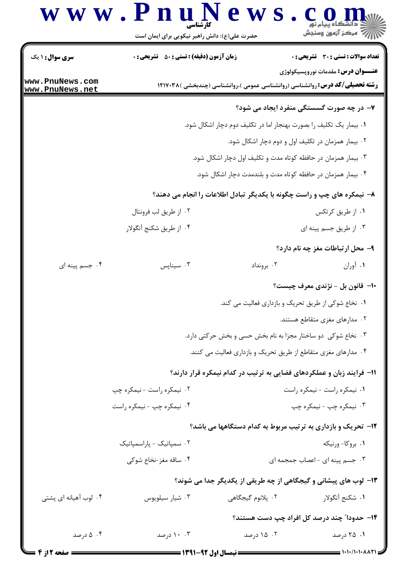## www.PnuN ews.com ريسمبرس<br>جي مرڪز آزمون وسنڊش

حضرت علی(ع): دانش راهبر نیکویی برای ایمان است **تعداد سوالات : تستي : 30 - تشريحي : 0 زمان آزمون (دقیقه) : تستی : 50 تشریحی : 0 سری سوال : ۱ یک عنـــوان درس:** مقدمات نوروپسیکولوژی www.PnuNews.com **رشته تحصیلی/کد درس: روانشناسی (روانشناسی عمومی )،روانشناسی (چندبخشی )۱۲۱۷۰۳۸ (** www.PnuNews.net ۷- در چه صورت گسستگی منفرد ایجاد می شود؟ ٠١. بيمار يک تکليف را بصورت بهنجار اما در تکليف دوم دچار اشکال شود. ۰۲ بیمار همزمان در تکلیف اول و دوم دچار اشکال شود. ۰۳ بیمار همزمان در حافظه کوتاه مدت و تکلیف اول دچار اشکال شود. ۰۴ بیمار همزمان در حافظه کوتاه مدت و بلندمدت دچار اشکال شود. ۸– نیمکره های چپ و راست چگونه با یکدیگر تبادل اطلاعات را انجام می دهند؟ ۰۱ از طریق کرتکس ۰۲ از طريق لب فرونتال ۰۴ از طریق شکنج آنگولار ۰۳ از طریق جسم پینه ای ۹- محل ارتباطات مغز چه نام دارد؟ ۰۴ جسم پینه ای ۰۳ سینایس $\cdot$ ۰۲ برونداد ۰۱ آوران ∙۱- قانون بل - نژندی معرف چیست؟ ۰۱ نخاع شوکی از طریق تحریک و بازداری فعالیت می کند. ۰۲ مدارهای مغزی متقاطع هستند. ۰۳ نخاع شوکی دو ساختار مجزا به نام بخش حسی و بخش حرکتی دارد. ۰۴ مدارهای مغزی متقاطع از طریق تحریک و بازداری فعالیت می کنند. 1۱- فرایند زبان و عملکردهای فضایی به ترتیب در کدام نیمکره قرار دارند؟ ۰۲ نیمکره راست - نیمکره چپ ٠١ نيمكره راست - نيمكره راست ۰۴ نیمکره چپ - نیمکره راست ۰۳ نیمکره چپ - نیمکره چپ ۱۲- تحریک و بازداری به ترتیب مربوط به کدام دستگاهها می باشد؟ ۰۲ سمپاتیک - پاراسمپاتیک ۰۱ بروکا-ورنیکه ۰۴ ساقه مغز-نخاع شوکی ۰۳ جسم پینه ای - اعصاب جمجمه ای ۱۳- لوب های پیشانی و گیجگاهی از چه طریقی از یکدیگر جدا می شوند؟ ۰۴ لوب آهیانه ای پشتی ۲. يلانوم گيجگاهي ۰۳ شیار سیلویوس ١. شكنج آنگولا, ۱۴– حدودا" چند درصد کل افراد چپ دست هستند؟

> ۰۴ درصد ۰۰۳ درصد ۰۲ ۱۵ درصد ۰۱ ۲۵ درصد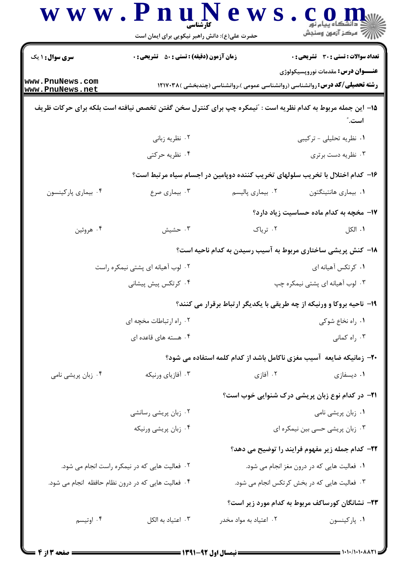|                                    | حضرت علی(ع): دانش راهبر نیکویی برای ایمان است      |                                                                                                            | أآآه مرکز آزمون وسنجش                                   |
|------------------------------------|----------------------------------------------------|------------------------------------------------------------------------------------------------------------|---------------------------------------------------------|
| <b>سری سوال : ۱ یک</b>             | <b>زمان آزمون (دقیقه) : تستی : 50 ٪ تشریحی : 0</b> |                                                                                                            | <b>تعداد سوالات : تستی : 30 ٪ تشریحی : 0</b>            |
| www.PnuNews.com<br>www.PnuNews.net |                                                    | <b>رشته تحصیلی/کد درس: روان</b> شناسی (روانشناسی عمومی )،روانشناسی (چندبخشی )۱۲۱۷۰۳۸                       | <b>عنـــوان درس:</b> مقدمات نوروپسیکولوژی               |
|                                    |                                                    | 1۵– این جمله مربوط به کدام نظریه است : آنیمکره چپ برای کنترل سخن گفتن تخصص نیافته است بلکه برای حرکات ظریف | است. ؒ                                                  |
|                                    | ۰۲ نظریه زبانی                                     |                                                                                                            | ۰۱ نظریه تحلیلی - ترکیبی                                |
|                                    | ۰۴ نظریه حرکتی                                     |                                                                                                            | ۰۳ نظریه دست برتری                                      |
|                                    |                                                    | ۱۶– کدام اختلال با تخریب سلولهای تخریب کننده دوپامین در اجسام سیاه مرتبط است؟                              |                                                         |
| ۰۴ بیماری پارکینسون                | ۰۳ بیماری صرع                                      | ۰۲ بیماری پالیسم                                                                                           | ٠١. بيماري هانتينگتون                                   |
|                                    |                                                    |                                                                                                            | 17- مخچه به کدام ماده حساسیت زیاد دارد؟                 |
| ۰۴ هروئين                          | ۰۳ حشیش                                            | ۰۲ تریاک                                                                                                   | ۰۱ الکل                                                 |
|                                    |                                                    | ۱۸– کنش پریشی ساختاری مربوط به آسیب رسیدن به کدام ناحیه است؟                                               |                                                         |
| ۰۲ لوب آهیانه ای پشتی نیمکره راست  |                                                    |                                                                                                            | ۰۱ کرتکس آهیانه ای                                      |
|                                    | ۰۴ کرتکس پیش پیشانی                                |                                                                                                            | ۰۳ لوب آهیانه ای پشتی نیمکره چپ                         |
|                                    |                                                    | ۱۹- ناحیه بروکا و ورنیکه از چه طریقی با یکدیگر ارتباط برقرار می کنند؟                                      |                                                         |
|                                    | ۰۲ راه ارتباطات مخچه ای                            |                                                                                                            | ٠١. راه نخاع شوكى                                       |
|                                    | ۰۴ هسته های قاعده ای                               |                                                                                                            | ۰۳ راه کمانی                                            |
|                                    |                                                    | +۲- زمانیکه ضایعه آسیب مغزی ناکامل باشد از کدام کلمه استفاده می شود؟                                       |                                                         |
| ۰۴ زبان پریشی نامی                 | ۰۳ آفازیای ورنیکه                                  | ۰۲ آفازی                                                                                                   | ۰۱ دیسفازی                                              |
|                                    |                                                    |                                                                                                            | <b>۲۱</b> - در کدام نوع زبان پریشی درک شنوایی خوب است؟  |
|                                    | ۰۲ زبان پریشی رسانشی                               |                                                                                                            | ۰۱ زبان پریشی نامی                                      |
|                                    | ۰۴ زبان پریشی ورنیکه                               |                                                                                                            | ۰۳ زبان پریشی حسی بین نیمکره ای                         |
|                                    |                                                    |                                                                                                            | <b>۲۲</b> – کدام جمله زیر مفهوم فرایند را توضیح می دهد؟ |
|                                    | ۰۲ فعالیت هایی که در نیمکره راست انجام می شود.     |                                                                                                            | ۰۱ فعالیت هایی که در درون مغز انجام می شود.             |
|                                    | ۰۴ فعالیت هایی که در درون نظام حافظه انجام می شود. |                                                                                                            | ۰۳ فعالیت هایی که در بخش کرتکس انجام می شود.            |
|                                    |                                                    |                                                                                                            | ۲۳– نشانگان کورساکف مربوط به کدام مورد زیر است؟         |
| ۰۴ اوتيسم                          | اعتياد به الكل $\cdot$                             | ۰۲ اعتیاد به مواد مخدر                                                                                     | ٠١ پاركينسون                                            |
|                                    |                                                    |                                                                                                            |                                                         |